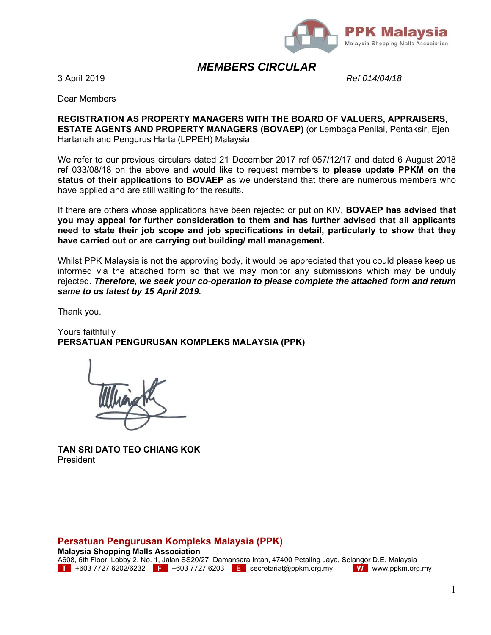

## *MEMBERS CIRCULAR*

3 April 2019 *Ref 014/04/18*

Dear Members

**REGISTRATION AS PROPERTY MANAGERS WITH THE BOARD OF VALUERS, APPRAISERS, ESTATE AGENTS AND PROPERTY MANAGERS (BOVAEP)** (or Lembaga Penilai, Pentaksir, Ejen Hartanah and Pengurus Harta (LPPEH) Malaysia

We refer to our previous circulars dated 21 December 2017 ref 057/12/17 and dated 6 August 2018 ref 033/08/18 on the above and would like to request members to **please update PPKM on the status of their applications to BOVAEP** as we understand that there are numerous members who have applied and are still waiting for the results.

If there are others whose applications have been rejected or put on KIV, **BOVAEP has advised that you may appeal for further consideration to them and has further advised that all applicants need to state their job scope and job specifications in detail, particularly to show that they have carried out or are carrying out building/ mall management.** 

Whilst PPK Malaysia is not the approving body, it would be appreciated that you could please keep us informed via the attached form so that we may monitor any submissions which may be unduly rejected. *Therefore, we seek your co-operation to please complete the attached form and return same to us latest by 15 April 2019.* 

Thank you.

Yours faithfully **PERSATUAN PENGURUSAN KOMPLEKS MALAYSIA (PPK)** 

**TAN SRI DATO TEO CHIANG KOK**  President

## **Persatuan Pengurusan Kompleks Malaysia (PPK)**

**Malaysia Shopping Malls Association** 

A608, 6th Floor, Lobby 2, No. 1, Jalan SS20/27, Damansara Intan, 47400 Petaling Jaya, Selangor D.E. Malaysia **T** +603 7727 6202/6232 **F** +603 7727 6203 **E** secretariat@ppkm.org.my **W** www.ppkm.org.my